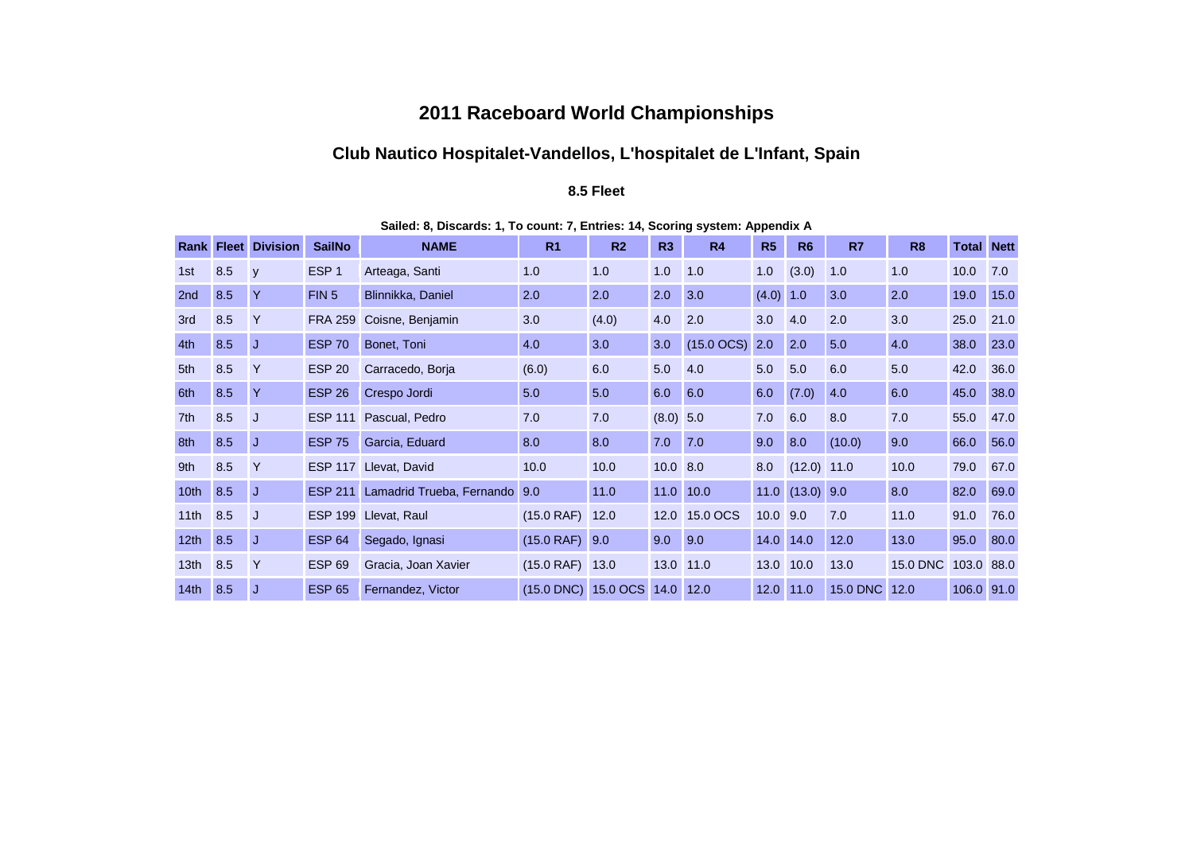## **2011 Raceboard World Championships**

# **Club Nautico Hospitalet-Vandellos, L'hospitalet de L'Infant, Spain**

#### **8.5 Fleet**

| Rankl            | <b>Fleet</b> | <b>Division</b> | <b>SailNo</b>    | <b>NAME</b>               | R <sub>1</sub>      | R <sub>2</sub> | R3          | <b>R4</b>              | R <sub>5</sub> | R <sub>6</sub>      | R <sub>7</sub>  | R <sub>8</sub>  | <b>Total Nett</b> |      |
|------------------|--------------|-----------------|------------------|---------------------------|---------------------|----------------|-------------|------------------------|----------------|---------------------|-----------------|-----------------|-------------------|------|
| 1st              | 8.5          | y               | ESP <sub>1</sub> | Arteaga, Santi            | 1.0                 | 1.0            | 1.0         | 1.0                    | 1.0            | (3.0)               | 1.0             | 1.0             | 10.0              | 7.0  |
| 2 <sub>nd</sub>  | 8.5          | Y               | FIN <sub>5</sub> | Blinnikka, Daniel         | 2.0                 | 2.0            | 2.0         | 3.0                    | (4.0)          | 1.0                 | 3.0             | 2.0             | 19.0              | 15.0 |
| 3rd              | 8.5          | Y               | <b>FRA 259</b>   | Coisne, Benjamin          | 3.0                 | (4.0)          | 4.0         | 2.0                    | 3.0            | 4.0                 | 2.0             | 3.0             | 25.0              | 21.0 |
| 4th              | 8.5          | J               | <b>ESP 70</b>    | Bonet, Toni               | 4.0                 | 3.0            | 3.0         | $(15.0 \, \text{OCS})$ | 2.0            | 2.0                 | 5.0             | 4.0             | 38.0              | 23.0 |
| 5th              | 8.5          | Y               | <b>ESP 20</b>    | Carracedo, Borja          | (6.0)               | 6.0            | 5.0         | 4.0                    | 5.0            | 5.0                 | 6.0             | 5.0             | 42.0              | 36.0 |
| 6th              | 8.5          | Y               | <b>ESP 26</b>    | Crespo Jordi              | 5.0                 | 5.0            | 6.0         | 6.0                    | 6.0            | (7.0)               | 4.0             | 6.0             | 45.0              | 38.0 |
| 7th              | 8.5          | IJ              | <b>ESP 111</b>   | Pascual, Pedro            | 7.0                 | 7.0            | $(8.0)$ 5.0 |                        | 7.0            | 6.0                 | 8.0             | 7.0             | 55.0              | 47.0 |
| 8th              | 8.5          | J               | <b>ESP 75</b>    | Garcia, Eduard            | 8.0                 | 8.0            | 7.0         | 7.0                    | 9.0            | 8.0                 | (10.0)          | 9.0             | 66.0              | 56.0 |
| 9th              | 8.5          | Y               |                  | ESP 117 Llevat, David     | 10.0                | 10.0           | $10.0$ 8.0  |                        | 8.0            | $(12.0)$ 11.0       |                 | 10.0            | 79.0              | 67.0 |
| 10 <sub>th</sub> | 8.5          | J               | <b>ESP 211</b>   | Lamadrid Trueba, Fernando | 9.0                 | 11.0           |             | 11.0 10.0              |                | $11.0$ $(13.0)$ 9.0 |                 | 8.0             | 82.0              | 69.0 |
| 11th             | 8.5          | IJ              |                  | ESP 199 Llevat, Raul      | (15.0 RAF)          | 12.0           |             | 12.0 15.0 OCS          | $10.0$ 9.0     |                     | 7.0             | 11.0            | 91.0              | 76.0 |
| 12 <sub>th</sub> | 8.5          | J               | <b>ESP 64</b>    | Segado, Ignasi            | $(15.0$ RAF) $9.0$  |                | 9.0         | 9.0                    |                | 14.0 14.0           | 12.0            | 13.0            | 95.0              | 80.0 |
| 13 <sub>th</sub> | 8.5          | Y               | <b>ESP 69</b>    | Gracia, Joan Xavier       | $(15.0$ RAF) $13.0$ |                |             | 13.0 11.0              |                | 13.0 10.0           | 13.0            | <b>15.0 DNC</b> | 103.0 88.0        |      |
| 14th             | 8.5          | J               | <b>ESP 65</b>    | Fernandez, Victor         | (15.0 DNC) 15.0 OCS |                |             | 14.0 12.0              |                | 12.0 11.0           | <b>15.0 DNC</b> | 12.0            | 106.0 91.0        |      |

**Sailed: 8, Discards: 1, To count: 7, Entries: 14, Scoring system: Appendix A**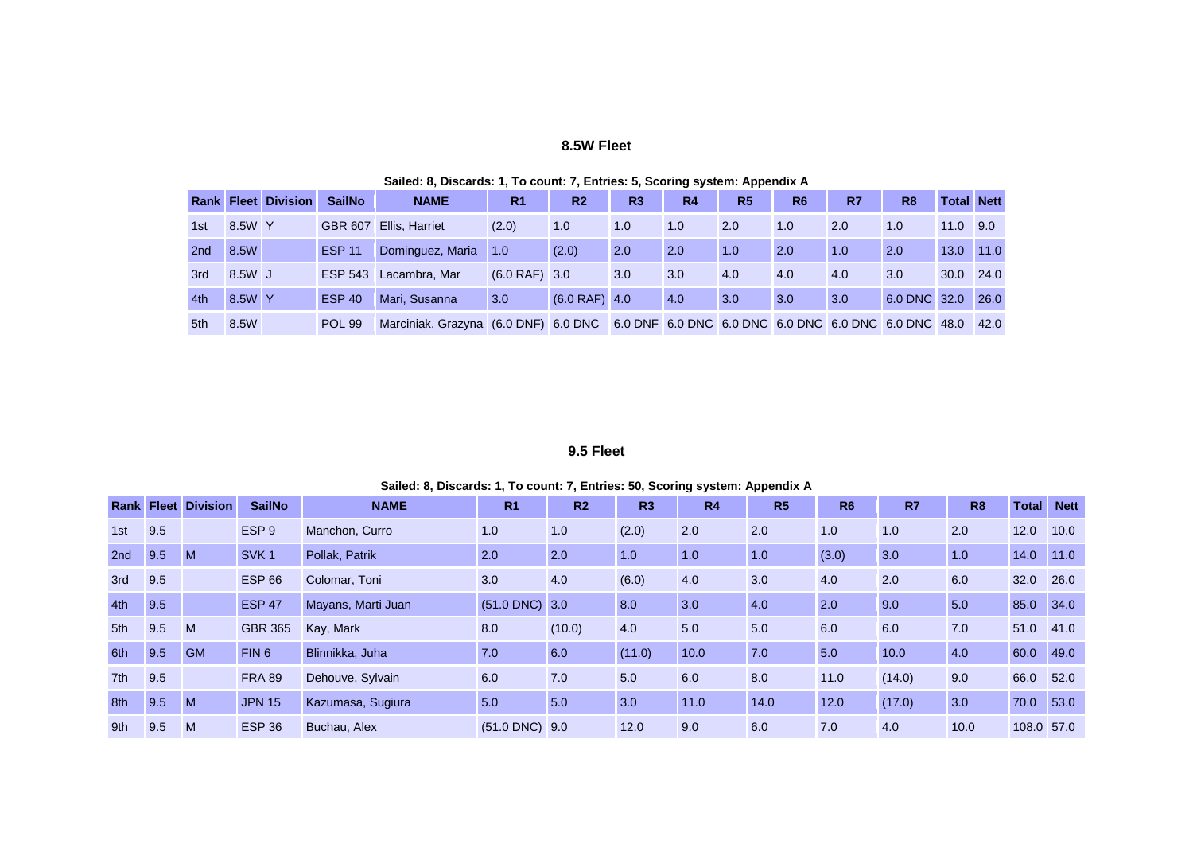#### **8.5W Fleet**

|                 |        | <b>Rank Fleet Division</b> | <b>SailNo</b>  | <b>NAME</b>                          | R <sub>1</sub>  | R <sub>2</sub>  | R <sub>3</sub> | R4  | R <sub>5</sub> | R <sub>6</sub> | R7                                                   | R <sub>8</sub> | <b>Total Nett</b> |      |
|-----------------|--------|----------------------------|----------------|--------------------------------------|-----------------|-----------------|----------------|-----|----------------|----------------|------------------------------------------------------|----------------|-------------------|------|
| 1st             | 8.5W Y |                            | <b>GBR 607</b> | <b>Ellis, Harriet</b>                | (2.0)           | 1.0             | 1.0            | 1.0 | 2.0            | 1.0            | 2.0                                                  | 1.0            | 11.0              | 9.0  |
| 2 <sub>nd</sub> | 8.5W   |                            | <b>ESP 11</b>  | Dominguez, Maria                     | 1.0             | (2.0)           | 2.0            | 2.0 | 1.0            | 2.0            | 1.0                                                  | 2.0            | 13.0              | 11.0 |
| 3rd             | 8.5W J |                            | <b>ESP 543</b> | Lacambra, Mar                        | $(6.0$ RAF) 3.0 |                 | 3.0            | 3.0 | 4.0            | 4.0            | 4.0                                                  | 3.0            | 30.0              | 24.0 |
| 4th             | 8.5W Y |                            | <b>ESP 40</b>  | Mari, Susanna                        | 3.0             | $(6.0$ RAF) 4.0 |                | 4.0 | 3.0            | 3.0            | 3.0                                                  | 6.0 DNC 32.0   |                   | 26.0 |
| 5th             | 8.5W   |                            | <b>POL 99</b>  | Marciniak. Grazyna (6.0 DNF) 6.0 DNC |                 |                 |                |     |                |                | 6.0 DNF 6.0 DNC 6.0 DNC 6.0 DNC 6.0 DNC 6.0 DNC 48.0 |                |                   | 42.0 |

#### **Sailed: 8, Discards: 1, To count: 7, Entries: 5, Scoring system: Appendix A**

### **9.5 Fleet**

| Sailed: 8, Discards: 1, To count: 7, Entries: 50, Scoring system: Appendix A |
|------------------------------------------------------------------------------|
|                                                                              |

|     |     | <b>Rank Fleet Division</b> | <b>SailNo</b>    | <b>NAME</b>        | R <sub>1</sub>     | R <sub>2</sub> | R3     | R <sub>4</sub> | R <sub>5</sub> | <b>R6</b> | R <sub>7</sub> | R <sub>8</sub> | Total      | <b>Nett</b> |
|-----|-----|----------------------------|------------------|--------------------|--------------------|----------------|--------|----------------|----------------|-----------|----------------|----------------|------------|-------------|
| 1st | 9.5 |                            | ESP <sub>9</sub> | Manchon, Curro     | 1.0                | 1.0            | (2.0)  | 2.0            | 2.0            | 1.0       | 1.0            | 2.0            | 12.0       | 10.0        |
| 2nd | 9.5 | M                          | SVK <sub>1</sub> | Pollak, Patrik     | 2.0                | 2.0            | 1.0    | 1.0            | 1.0            | (3.0)     | 3.0            | 1.0            | 14.0       | 11.0        |
| 3rd | 9.5 |                            | <b>ESP 66</b>    | Colomar, Toni      | 3.0                | 4.0            | (6.0)  | 4.0            | 3.0            | 4.0       | 2.0            | 6.0            | 32.0       | 26.0        |
| 4th | 9.5 |                            | <b>ESP 47</b>    | Mayans, Marti Juan | $(51.0$ DNC) 3.0   |                | 8.0    | 3.0            | 4.0            | 2.0       | 9.0            | 5.0            | 85.0       | 34.0        |
| 5th | 9.5 | M                          | <b>GBR 365</b>   | Kay, Mark          | 8.0                | (10.0)         | 4.0    | 5.0            | 5.0            | 6.0       | 6.0            | 7.0            | 51.0       | 41.0        |
| 6th | 9.5 | <b>GM</b>                  | FIN <sub>6</sub> | Blinnikka, Juha    | 7.0                | 6.0            | (11.0) | 10.0           | 7.0            | 5.0       | 10.0           | 4.0            | 60.0       | 49.0        |
| 7th | 9.5 |                            | <b>FRA 89</b>    | Dehouve, Sylvain   | 6.0                | 7.0            | 5.0    | 6.0            | 8.0            | 11.0      | (14.0)         | 9.0            | 66.0       | 52.0        |
| 8th | 9.5 | M                          | <b>JPN 15</b>    | Kazumasa, Sugiura  | 5.0                | 5.0            | 3.0    | 11.0           | 14.0           | 12.0      | (17.0)         | 3.0            | 70.0       | 53.0        |
| 9th | 9.5 | M                          | <b>ESP 36</b>    | Buchau, Alex       | $(51.0$ DNC) $9.0$ |                | 12.0   | 9.0            | 6.0            | 7.0       | 4.0            | 10.0           | 108.0 57.0 |             |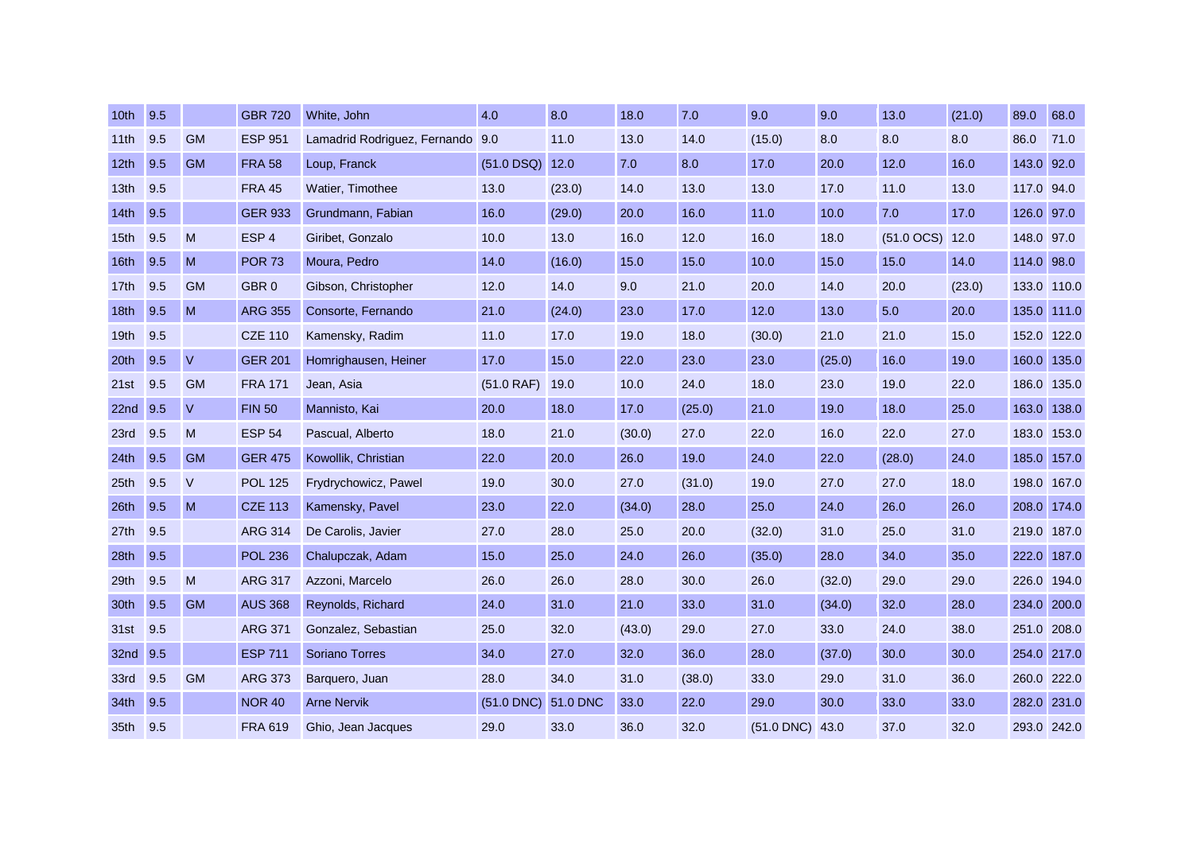| 10th             | 9.5 |              | <b>GBR 720</b>   | White, John                      | 4.0          | 8.0      | 18.0   | 7.0    | 9.0          | 9.0    | 13.0         | (21.0) | 89.0        | 68.0        |
|------------------|-----|--------------|------------------|----------------------------------|--------------|----------|--------|--------|--------------|--------|--------------|--------|-------------|-------------|
| 11th             | 9.5 | <b>GM</b>    | <b>ESP 951</b>   | Lamadrid Rodriguez, Fernando 9.0 |              | 11.0     | 13.0   | 14.0   | (15.0)       | 8.0    | 8.0          | 8.0    | 86.0        | 71.0        |
| 12 <sub>th</sub> | 9.5 | <b>GM</b>    | <b>FRA 58</b>    | Loup, Franck                     | $(51.0$ DSQ) | 12.0     | 7.0    | 8.0    | 17.0         | 20.0   | 12.0         | 16.0   | 143.0 92.0  |             |
| 13 <sub>th</sub> | 9.5 |              | <b>FRA 45</b>    | Watier, Timothee                 | 13.0         | (23.0)   | 14.0   | 13.0   | 13.0         | 17.0   | 11.0         | 13.0   | 117.0 94.0  |             |
| 14 <sub>th</sub> | 9.5 |              | <b>GER 933</b>   | Grundmann, Fabian                | 16.0         | (29.0)   | 20.0   | 16.0   | 11.0         | 10.0   | 7.0          | 17.0   | 126.0 97.0  |             |
| 15 <sub>th</sub> | 9.5 | M            | ESP <sub>4</sub> | Giribet, Gonzalo                 | 10.0         | 13.0     | 16.0   | 12.0   | 16.0         | 18.0   | $(51.0$ OCS) | 12.0   | 148.0       | 97.0        |
| 16th             | 9.5 | M            | <b>POR 73</b>    | Moura, Pedro                     | 14.0         | (16.0)   | 15.0   | 15.0   | 10.0         | 15.0   | 15.0         | 14.0   | 114.0       | 98.0        |
| 17th             | 9.5 | <b>GM</b>    | GBR <sub>0</sub> | Gibson, Christopher              | 12.0         | 14.0     | 9.0    | 21.0   | 20.0         | 14.0   | 20.0         | (23.0) | 133.0       | 110.0       |
| 18 <sub>th</sub> | 9.5 | M            | <b>ARG 355</b>   | Consorte, Fernando               | 21.0         | (24.0)   | 23.0   | 17.0   | 12.0         | 13.0   | 5.0          | 20.0   | 135.0 111.0 |             |
| 19 <sub>th</sub> | 9.5 |              | <b>CZE 110</b>   | Kamensky, Radim                  | 11.0         | 17.0     | 19.0   | 18.0   | (30.0)       | 21.0   | 21.0         | 15.0   | 152.0 122.0 |             |
| 20 <sup>th</sup> | 9.5 | $\vee$       | <b>GER 201</b>   | Homrighausen, Heiner             | 17.0         | 15.0     | 22.0   | 23.0   | 23.0         | (25.0) | 16.0         | 19.0   | 160.0       | 135.0       |
| 21st             | 9.5 | <b>GM</b>    | <b>FRA 171</b>   | Jean, Asia                       | (51.0 RAF)   | 19.0     | 10.0   | 24.0   | 18.0         | 23.0   | 19.0         | 22.0   |             | 186.0 135.0 |
| 22 <sub>nd</sub> | 9.5 | $\mathsf{V}$ | <b>FIN 50</b>    | Mannisto, Kai                    | 20.0         | 18.0     | 17.0   | (25.0) | 21.0         | 19.0   | 18.0         | 25.0   | 163.0       | 138.0       |
| 23rd             | 9.5 | M            | <b>ESP 54</b>    | Pascual, Alberto                 | 18.0         | 21.0     | (30.0) | 27.0   | 22.0         | 16.0   | 22.0         | 27.0   | 183.0       | 153.0       |
| 24th             | 9.5 | <b>GM</b>    | <b>GER 475</b>   | Kowollik, Christian              | 22.0         | 20.0     | 26.0   | 19.0   | 24.0         | 22.0   | (28.0)       | 24.0   | 185.0       | 157.0       |
| 25 <sub>th</sub> | 9.5 | V            | <b>POL 125</b>   | Frydrychowicz, Pawel             | 19.0         | 30.0     | 27.0   | (31.0) | 19.0         | 27.0   | 27.0         | 18.0   | 198.0       | 167.0       |
| 26th             | 9.5 | M            | <b>CZE 113</b>   | Kamensky, Pavel                  | 23.0         | 22.0     | (34.0) | 28.0   | 25.0         | 24.0   | 26.0         | 26.0   | 208.0       | 174.0       |
| 27th             | 9.5 |              | <b>ARG 314</b>   | De Carolis, Javier               | 27.0         | 28.0     | 25.0   | 20.0   | (32.0)       | 31.0   | 25.0         | 31.0   | 219.0       | 187.0       |
| 28th             | 9.5 |              | <b>POL 236</b>   | Chalupczak, Adam                 | 15.0         | 25.0     | 24.0   | 26.0   | (35.0)       | 28.0   | 34.0         | 35.0   | 222.0       | 187.0       |
| 29th             | 9.5 | M            | <b>ARG 317</b>   | Azzoni, Marcelo                  | 26.0         | 26.0     | 28.0   | 30.0   | 26.0         | (32.0) | 29.0         | 29.0   | 226.0       | 194.0       |
| 30th             | 9.5 | <b>GM</b>    | <b>AUS 368</b>   | Reynolds, Richard                | 24.0         | 31.0     | 21.0   | 33.0   | 31.0         | (34.0) | 32.0         | 28.0   | 234.0       | 200.0       |
| 31st             | 9.5 |              | <b>ARG 371</b>   | Gonzalez, Sebastian              | 25.0         | 32.0     | (43.0) | 29.0   | 27.0         | 33.0   | 24.0         | 38.0   | 251.0       | 208.0       |
| 32 <sub>nd</sub> | 9.5 |              | <b>ESP 711</b>   | <b>Soriano Torres</b>            | 34.0         | 27.0     | 32.0   | 36.0   | 28.0         | (37.0) | 30.0         | 30.0   | 254.0       | 217.0       |
| 33rd             | 9.5 | <b>GM</b>    | <b>ARG 373</b>   | Barquero, Juan                   | 28.0         | 34.0     | 31.0   | (38.0) | 33.0         | 29.0   | 31.0         | 36.0   | 260.0       | 222.0       |
| 34th             | 9.5 |              | <b>NOR 40</b>    | <b>Arne Nervik</b>               | $(51.0$ DNC) | 51.0 DNC | 33.0   | 22.0   | 29.0         | 30.0   | 33.0         | 33.0   | 282.0       | 231.0       |
| 35 <sub>th</sub> | 9.5 |              | <b>FRA 619</b>   | Ghio, Jean Jacques               | 29.0         | 33.0     | 36.0   | 32.0   | $(51.0$ DNC) | 43.0   | 37.0         | 32.0   | 293.0 242.0 |             |